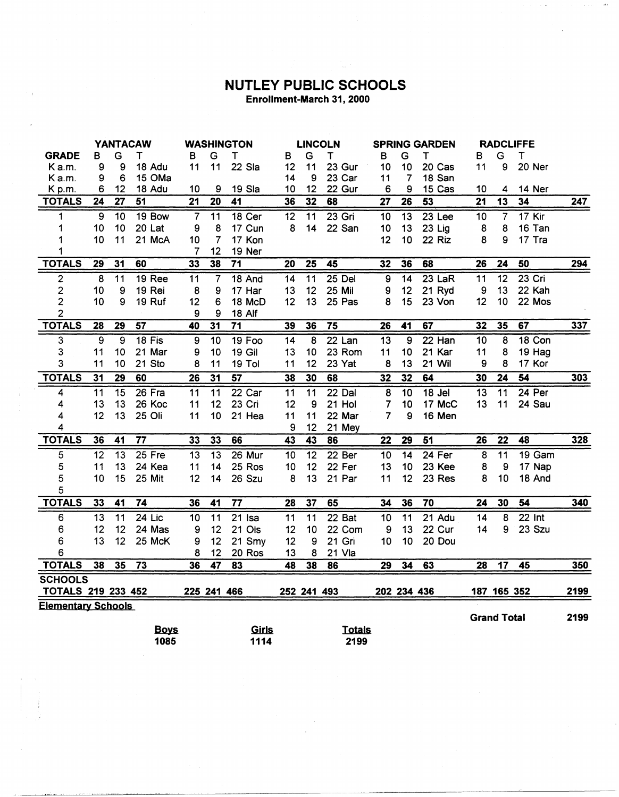## **NUTLEY PUBLIC SCHOOLS** Enrollment-March 31, 2000

**ALL** 

|                           | <b>YANTACAW</b> |                 | <b>WASHINGTON</b> |                | <b>LINCOLN</b>  |                 |                 | <b>SPRING GARDEN</b> |               |                 | <b>RADCLIFFE</b> |          |                    |                 |                   |            |
|---------------------------|-----------------|-----------------|-------------------|----------------|-----------------|-----------------|-----------------|----------------------|---------------|-----------------|------------------|----------|--------------------|-----------------|-------------------|------------|
| <b>GRADE</b>              | в               | G               | T                 | В              | G               | Τ               | в               | G                    | Т             | в               | G                | Τ        | в                  | G               | T                 |            |
| Ka.m.                     | 9               | 9               | 18 Adu            | 11             | 11              | 22 Sia          | 12              | 11                   | 23 Gur        | 10              | 10               | 20 Cas   | 11                 | 9               | 20 Ner            |            |
| Ka.m.                     | 9               | 6               | 15 OMa            |                |                 |                 | 14              | 9                    | 23 Car        | 11              | 7                | 18 San   |                    |                 |                   |            |
| K <sub>p.m.</sub>         | 6               | 12              | 18 Adu            | 10             | 9               | 19 Sla          | 10              | 12                   | 22 Gur        | 6               | 9                | 15 Cas   | 10                 | 4               | 14 Ner            |            |
| <b>TOTALS</b>             | 24              | 27              | 51                | 21             | 20              | 41              | 36              | 32                   | 68            | 27              | 26               | 53       | $\overline{21}$    | $\overline{13}$ | 34                | 247        |
| 1                         | 9               | 10              | 19 Bow            | $\overline{7}$ | 11              | 18 Cer          | 12              | 11                   | $23$ Gri      | 10              | 13               | 23 Lee   | 10                 | $\overline{7}$  | 17 Kir            |            |
| 1                         | 10              | 10              | 20 Lat            | 9              | 8               | 17 Cun          | 8               | 14                   | 22 San        | 10              | 13               | 23 Lig   | 8                  | 8               | 16 Tan            |            |
|                           | 10              | 11              | 21 McA            | 10             | $\overline{7}$  | 17 Kon          |                 |                      |               | 12              | 10               | 22 Riz   | 8                  | 9               | 17 Tra            |            |
| 1                         |                 |                 |                   | 7              | 12              | 19 Ner          |                 |                      |               |                 |                  |          |                    |                 |                   |            |
| <b>TOTALS</b>             | 29              | 31              | 60                | 33             | 38              | 71              | 20              | 25                   | 45            | 32              | 36               | 68       | 26                 | 24              | 50                | 294        |
| 2                         | $\overline{8}$  | $\overline{11}$ | <b>19 Ree</b>     | 11             | $\overline{7}$  | 18 And          | $\overline{14}$ | $\overline{11}$      | $25$ Del      | $\overline{9}$  | $\overline{14}$  | $23$ LaR | $\overline{11}$    | $\overline{12}$ | $23$ Cri          |            |
| 2                         | 10              | 9               | 19 Rei            | 8              | 9               | 17 Har          | 13              | 12                   | 25 Mil        | 9               | 12               | 21 Ryd   | 9                  | 13              | 22 Kah            |            |
| $\overline{c}$            | 10              | 9               | 19 Ruf            | 12             | 6               | 18 McD          | 12              | 13                   | 25 Pas        | 8               | 15               | 23 Von   | 12                 | 10              | 22 Mos            |            |
| 2                         |                 |                 |                   | 9              | 9               | <b>18 Alf</b>   |                 |                      |               |                 |                  |          |                    |                 |                   |            |
| <b>TOTALS</b>             | 28              | 29              | $\overline{57}$   | 40             | $\overline{31}$ | $\overline{71}$ | 39              | 36                   | 75            | 26              | 41               | 67       | 32                 | 35              | 67                | 337        |
| 3                         | $\overline{9}$  | $\overline{9}$  | $18$ Fis          | 9              | $\overline{10}$ | 19 Foo          | 14              | 8                    | $22$ Lan      | $\overline{13}$ | $\overline{9}$   | $22$ Han | 10                 | 8               | 18 Con            |            |
| 3                         | 11              | 10              | 21 Mar            | 9              | 10              | <b>19 Gil</b>   | 13              | 10                   | 23 Rom        | 11              | 10               | 21 Kar   | 11                 | 8               | 19 Hag            |            |
| 3                         | 11              | 10              | 21 Sto            | 8              | 11              | 19 Tol          | 11              | 12                   | 23 Yat        | 8               | 13               | 21 Wil   | 9                  | 8               | 17 Kor            |            |
| <b>TOTALS</b>             | 31              | 29              | 60                | 26             | $\overline{31}$ | 57              | 38              | 30                   | 68            | 32              | 32               | 64       | 30                 | 24              | 54                | <u>303</u> |
| 4                         | 11              | 15              | 26 Fra            | 11             | 11              | 22 Car          | 11              | 11                   | $22$ Dal      | 8               | 10               | 18 Jel   | 13                 | 11              | 24 Per            |            |
| 4                         | 13              | 13              | 26 Koc            | 11             | 12              | 23 Cri          | 12              | 9                    | 21 Hol        | 7               | 10               | 17 McC   | 13                 | 11              | 24 Sau            |            |
| 4                         | 12              | 13              | 25 Oli            | 11             | 10              | 21 Hea          | 11              | 11                   | 22 Mar        | 7               | 9                | 16 Men   |                    |                 |                   |            |
| 4                         |                 |                 |                   |                |                 |                 | 9               | 12                   | 21 Mey        |                 |                  |          |                    |                 |                   |            |
| <b>TOTALS</b>             | 36              | 41              | $\overline{77}$   | 33             | 33              | 66              | $\overline{43}$ | 43                   | 86            | 22              | $\overline{29}$  | 51       | 26                 | $\overline{22}$ | 48                | 328        |
| 5                         | $\overline{12}$ | 13              | $25$ Fre          | 13             | $\overline{13}$ | 26 Mur          | 10              | $\overline{12}$      | 22 Ber        | 10              | 14               | $24$ Fer | 8                  | $\overline{11}$ | 19 <sub>Gam</sub> |            |
| 5                         | 11              | 13              | 24 Kea            | 11             | 14              | 25 Ros          | 10              | 12                   | 22 Fer        | 13              | 10               | 23 Kee   | 8                  | 9               | 17 Nap            |            |
| 5                         | 10              | 15              | 25 Mit            | 12             | 14              | 26 Szu          | 8               | 13                   | 21 Par        | 11              | 12               | 23 Res   | 8                  | 10              | 18 And            |            |
| 5                         |                 |                 |                   |                |                 |                 |                 |                      |               |                 |                  |          |                    |                 |                   |            |
| <b>TOTALS</b>             | 33              | 41              | 74                | 36             | 41              | $\overline{77}$ | 28              | 37                   | 65            | 34              | 36               | 70       | 24                 | 30              | 54                | 340        |
| 6                         | $\overline{13}$ | $\overline{11}$ | $24$ Lic          | 10             | $\overline{11}$ | $21$ Isa        | $\overline{11}$ | $\overline{11}$      | $22$ Bat      | $\overline{10}$ | $\overline{11}$  | $21$ Adu | $\overline{14}$    | 8               | $22$ Int          |            |
| 6                         | 12              | 12              | 24 Mas            | 9              | 12              | 21 Ols          | 12              | 10                   | 22 Com        | 9               | 13               | 22 Cur   | 14                 | 9               | 23 Szu            |            |
| 6                         | 13              | 12              | 25 McK            | 9              | 12              | 21 Smy          | 12              | 9                    | 21 Gri        | 10              | 10               | 20 Dou   |                    |                 |                   |            |
| 6                         |                 |                 |                   | 8              | 12              | 20 Ros          | 13              | 8                    | 21 Vla        |                 |                  |          |                    |                 |                   |            |
| <b>TOTALS</b>             | 38              | 35              | $\overline{73}$   | 36             | 47              | 83              | 48              | 38                   | 86            | 29              | 34               | 63       | 28                 | 17              | 45                | 350        |
| <b>SCHOOLS</b>            |                 |                 |                   |                |                 |                 |                 |                      |               |                 |                  |          |                    |                 |                   |            |
| <b>TOTALS 219 233 452</b> |                 |                 |                   |                | 225 241 466     |                 |                 | 252 241 493          |               |                 | 202 234 436      |          | 187 165 352        |                 |                   | 2199       |
| <b>Elementary Schools</b> |                 |                 |                   |                |                 |                 |                 |                      |               |                 |                  |          |                    |                 |                   |            |
|                           |                 |                 |                   |                |                 |                 |                 |                      |               |                 |                  |          | <b>Grand Total</b> |                 |                   | 2199       |
|                           |                 |                 | <b>Boys</b>       |                |                 | Girls           |                 |                      | <b>Totals</b> |                 |                  |          |                    |                 |                   |            |
|                           |                 |                 | 1085              |                |                 | 1114            |                 |                      | 2199          |                 |                  |          |                    |                 |                   |            |